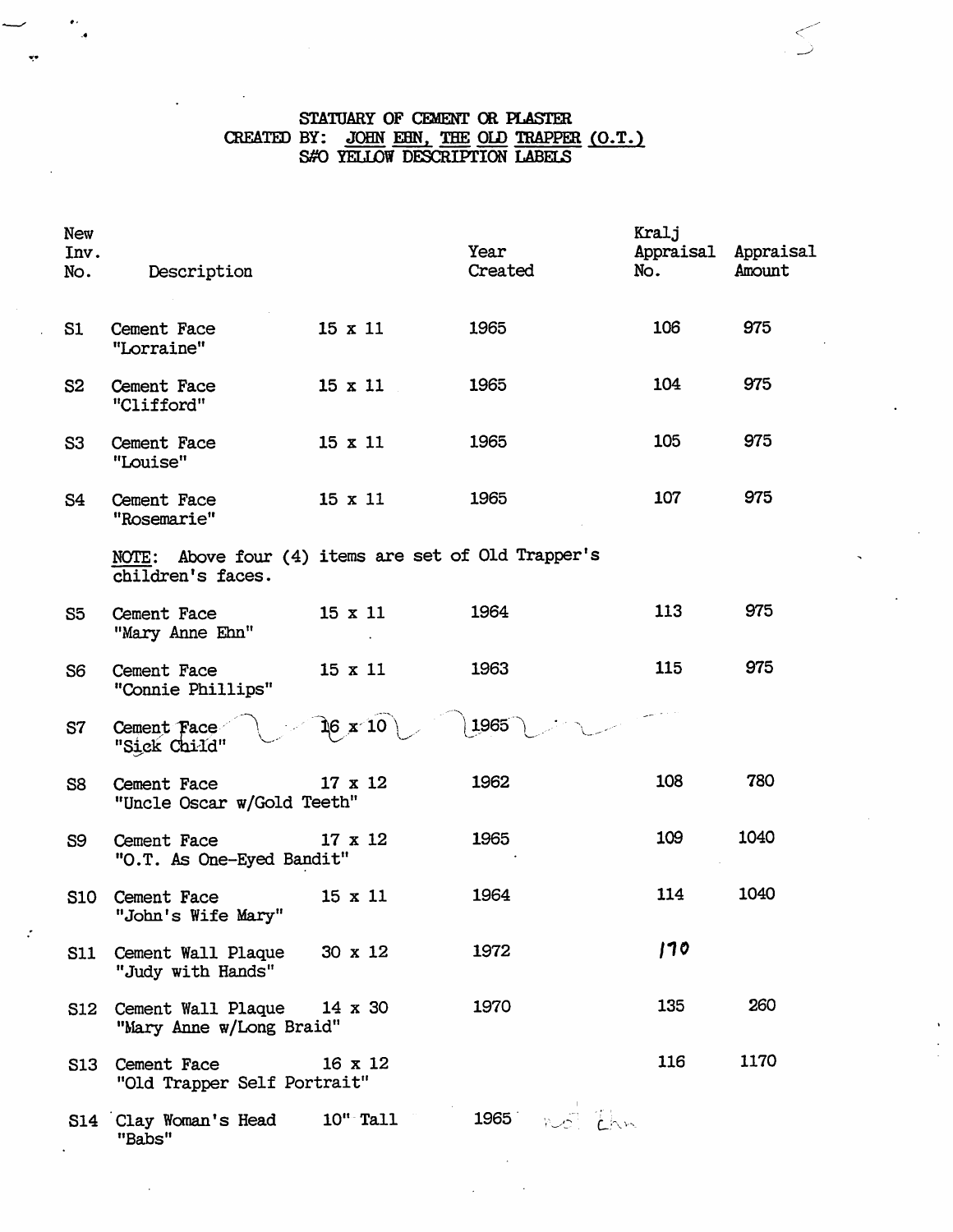#### STATUARY OF CEMENT OR PLASTER CREATED BY: JOHN EHN, THE OLD TRAPPER (O.1 SffO YELLOW DESCRIPTION LABELS <u>r. j</u>

| <b>New</b><br>Inv.<br>No. | Description                                                              |                | Year<br>Created | Kralj<br>Appraisal Appraisal<br>No. | Amount |
|---------------------------|--------------------------------------------------------------------------|----------------|-----------------|-------------------------------------|--------|
| S1                        | Cement Face<br>"Lorraine"                                                | $15 \times 11$ | 1965            | 106                                 | 975    |
| S <sub>2</sub>            | Cement Face<br>"Clifford"                                                | $15 \times 11$ | 1965            | 104                                 | 975    |
| S <sub>3</sub>            | Cement Face<br>"Louise"                                                  | $15 \times 11$ | 1965            | 105                                 | 975    |
| S4                        | Cement Face<br>"Rosemarie"                                               | $15 \times 11$ | 1965            | 107                                 | 975    |
|                           | NOTE: Above four (4) items are set of Old Trapper's<br>children's faces. |                |                 |                                     |        |
| S <sub>5</sub>            | Cement Face<br>"Mary Anne Ehn"                                           | $15 \times 11$ | 1964            | 113                                 | 975    |
| S <sub>6</sub>            | Cement Face<br>"Connie Phillips"                                         | $15 \times 11$ | 1963            | 115                                 | 975    |
| S7                        | Cement Face<br>"Sick Child"                                              | 16 x 10        | 1965            |                                     |        |
| S <sub>8</sub>            | Cement Face<br>"Uncle Oscar w/Gold Teeth"                                | $17 \times 12$ | 1962            | 108                                 | 780    |
| S9                        | Cement Face<br>"O.T. As One-Eyed Bandit"                                 | $17 \times 12$ | 1965            | 109                                 | 1040   |
| <b>S10</b>                | Cement Face<br>"John's Wife Mary"                                        | 15 x 11        | 1964            | 114                                 | 1040   |
| <b>S11</b>                | Cement Wall Plaque<br>"Judy with Hands"                                  | $30 \times 12$ | 1972            | 170                                 |        |
| S12                       | Cement Wall Plaque<br>"Mary Anne w/Long Braid"                           | $14 \times 30$ | 1970            | 135                                 | 260    |
| S13                       | Cement Face<br>"Old Trapper Self Portrait"                               | $16 \times 12$ |                 | 116                                 | 1170   |
|                           | S14 Clay Woman's Head<br>"Babs"                                          | $10th$ Tall    | $1965 - N55$    |                                     |        |

. 4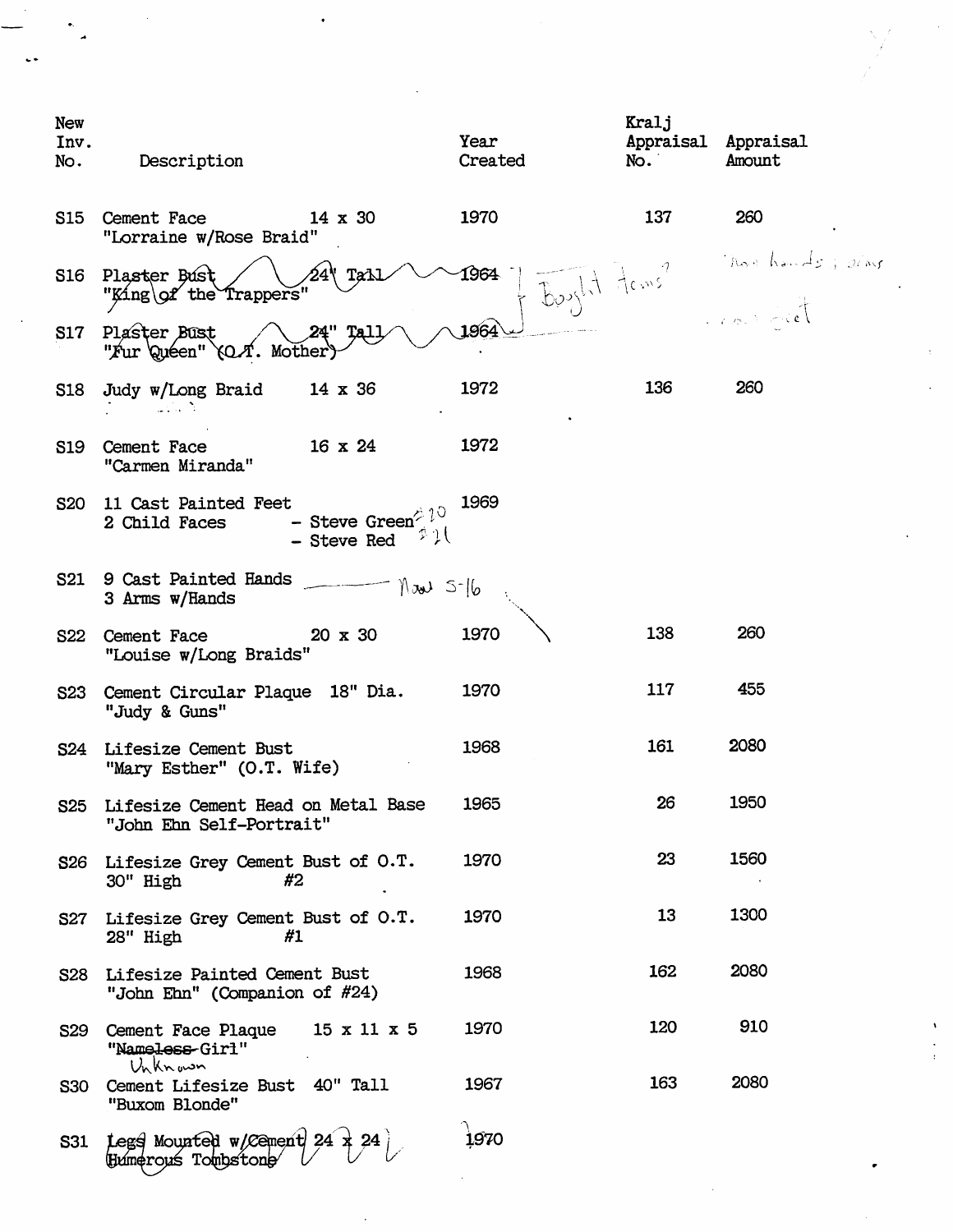| <b>New</b><br>Inv.<br>No. | Description                                                                                                        | Year<br>Created      | Kralj<br>Appraisal Appraisal<br>No. | Amount          |
|---------------------------|--------------------------------------------------------------------------------------------------------------------|----------------------|-------------------------------------|-----------------|
| S15                       | Cement Face<br>$14 \times 30$<br>"Lorraine w/Rose Braid"                                                           | 1970                 | 137                                 | 260             |
| S16                       | Plaster Bust<br>"King\of the Trappers"                                                                             | Bought Frans<br>1964 |                                     | has hands juins |
| S17                       | Plaster Bust<br>"Fur 'Quéen"<br>Mother                                                                             | 1964                 |                                     |                 |
| S18                       | Judy w/Long Braid<br>14 x 36                                                                                       | 1972                 | 136                                 | 260             |
| S19                       | $16 \times 24$<br>Cement Face<br>"Carmen Miranda"                                                                  | 1972                 |                                     |                 |
| <b>S20</b>                | 11 Cast Painted Feet<br>- Steve Green <sup><math>\hat{\phi}</math> 10</sup><br>2 Child Faces<br>こうく<br>- Steve Red | 1969                 |                                     |                 |
| S21                       | 9 Cast Painted Hands<br>$\sqrt{3}$<br>3 Arms w/Hands                                                               |                      |                                     |                 |
| <b>S22</b>                | 20 x 30<br>Cement Face<br>"Louise w/Long Braids"                                                                   | 1970                 | 138                                 | 260             |
| <b>S23</b>                | Cement Circular Plaque 18" Dia.<br>"Judy & Guns"                                                                   | 1970                 | 117                                 | 455             |
|                           | S24 Lifesize Cement Bust<br>"Mary Esther" (O.T. Wife)                                                              | 1968                 | 161                                 | 2080            |
|                           | S25 Lifesize Cement Head on Metal Base<br>"John Ehn Self-Portrait"                                                 | 1965                 | 26                                  | 1950            |
|                           | S26 Lifesize Grey Cement Bust of O.T.<br>30" High<br>#2                                                            | 1970                 | 23                                  | 1560            |
|                           | S27 Lifesize Grey Cement Bust of O.T.<br>28" High<br>#1                                                            | 1970                 | 13                                  | 1300            |
|                           | S28 Lifesize Painted Cement Bust<br>"John Ehn" (Companion of #24)                                                  | 1968                 | 162                                 | 2080            |
| <b>S29</b>                | Cement Face Plaque $15 \times 11 \times 5$<br>"Nameless-Girl"<br>Unknown                                           | 1970                 | 120                                 | 910             |
| <b>S30</b>                | Cement Lifesize Bust 40" Tall<br>"Buxom Blonde"                                                                    | 1967                 | 163                                 | 2080            |
| <b>S31</b>                | Legs Mounted w/Cement 24 x 24                                                                                      | 1970                 |                                     |                 |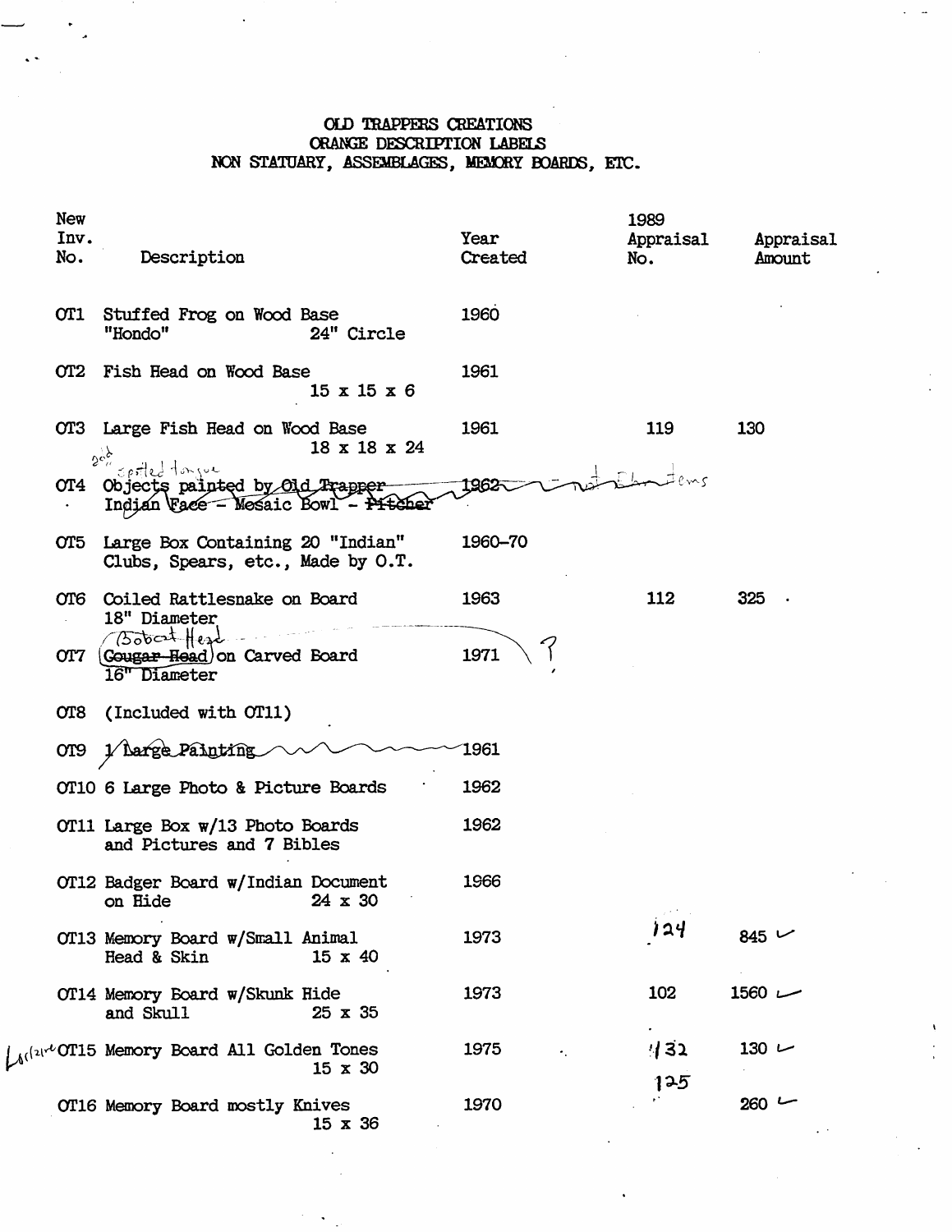# OLD TRAPPESS CREATIONS ORANGE DESCRIPTION LABELS NON STATUARY, ASSEMBLAGES, MEMORY BOARDS, ETC.

| New<br>Inv.<br>No. | Description                                                                                  | Year<br>Created | 1989<br>Appraisal<br>No. | Appraisal<br>Amount |
|--------------------|----------------------------------------------------------------------------------------------|-----------------|--------------------------|---------------------|
| OT1                | Stuffed Frog on Wood Base<br>"Hondo"<br>24" Circle                                           | 1960            |                          |                     |
|                    | OT2 Fish Head on Wood Base<br>$15 \times 15 \times 6$                                        | 1961            |                          |                     |
|                    | OT3 Large Fish Head on Wood Base<br>18 x 18 x 24<br>$2c_2^{\prime\prime}$                    | 1961            | 119                      | 130                 |
|                    | spriled tongue<br>OT4 Objects painted by Old Prapper-<br>Indian Face - Mosaic Bowl - Pitcher | 1962            |                          |                     |
|                    | OT5 Large Box Containing 20 "Indian"<br>Clubs, Spears, etc., Made by O.T.                    | 1960-70         |                          |                     |
|                    | OT6 Coiled Rattlesnake on Board<br>18" Diameter                                              | 1963            | 112                      | 325                 |
| OT7                | (500 cet Head)<br>(Gougar-Head) on Carved Board<br>16" Diameter                              | 1971            |                          |                     |
|                    | OT8 (Included with OT11)                                                                     |                 |                          |                     |
| OT9                | <b>Large Painting</b>                                                                        | 1961            |                          |                     |
|                    | OT10 6 Large Photo & Picture Boards                                                          | 1962            |                          |                     |
|                    | OT11 Large Box w/13 Photo Boards<br>and Pictures and 7 Bibles                                | 1962            |                          |                     |
|                    | OT12 Badger Board w/Indian Document<br>24 x 30<br>on Hide                                    | 1966            |                          |                     |
|                    | OT13 Memory Board w/Small Animal<br>Head & Skin<br>$15 \times 40$                            | 1973            | 124                      | 845 $\vee$          |
|                    | OT14 Memory Board w/Skunk Hide<br>and Skull<br>$25 \times 35$                                | 1973            | 102                      | $1560 -$            |
|                    | $_{(1)}$ $\sim$ OT15 Memory Board All Golden Tones<br>$15 \times 30$                         | 1975            | 132<br>125               | $130 -$             |
|                    | OT16 Memory Board mostly Knives<br>$15 \times 36$                                            | 1970            |                          | $260 -$             |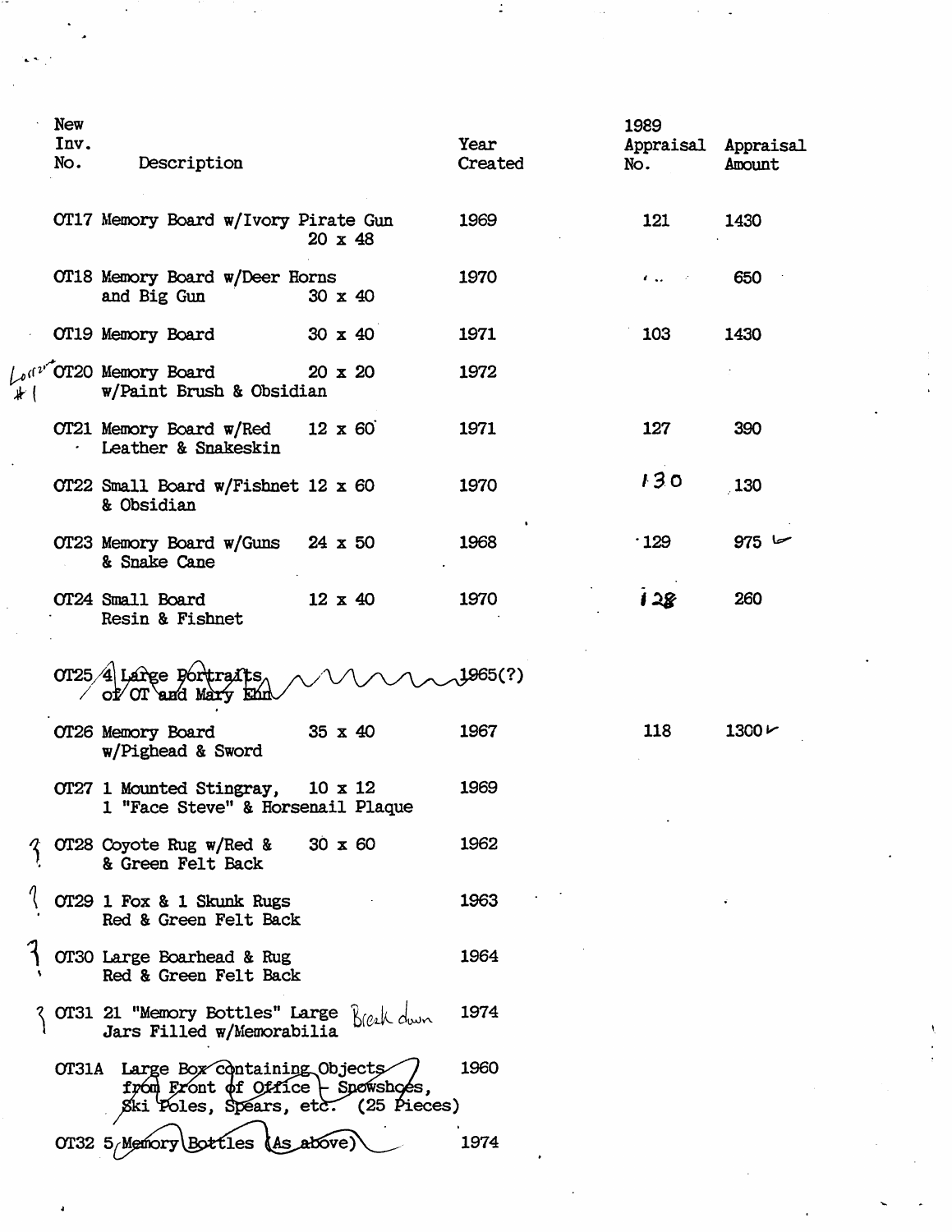|     | <b>New</b><br>Inv.<br>No. | Description                                                                                                              |                | Year<br>Created | 1989<br>Appraisal Appraisal<br>No. | Amount        |
|-----|---------------------------|--------------------------------------------------------------------------------------------------------------------------|----------------|-----------------|------------------------------------|---------------|
|     |                           | OT17 Memory Board w/Ivory Pirate Gun                                                                                     | $20 \times 48$ | 1969            | 121                                | 1430          |
|     |                           | OT18 Memory Board w/Deer Horns<br>and Big Gun                                                                            | 30 x 40        | 1970            | $\mathbf{r}$<br>$\sim 10^{11}$     | 650           |
|     |                           | OT19 Memory Board                                                                                                        | $30 \times 40$ | 1971            | 103                                | 1430          |
| # ( |                           | Ad <sup>2, OT20 Memory Board</sup><br><b>w/Paint Brush &amp; Obsidian</b>                                                | $20 \times 20$ | 1972            |                                    |               |
|     |                           | OT21 Memory Board w/Red<br>Leather & Snakeskin                                                                           | $12 \times 60$ | 1971            | 127                                | 390           |
|     |                           | OT22 Small Board w/Fishnet 12 x 60<br>& Obsidian                                                                         |                | 1970            | 130                                | 130           |
|     |                           | OT23 Memory Board w/Guns 24 x 50<br>& Snake Cane                                                                         |                | 1968            | $\cdot$ 129                        | 975           |
|     |                           | OT24 Small Board<br>Resin & Fishnet                                                                                      | $12 \times 40$ | 1970            | 128                                | 260           |
|     |                           | 0T25/4 Large Portraits<br>$of'$ or and Mary                                                                              |                | 1965(?)         |                                    |               |
|     |                           | OT26 Memory Board<br>w/Pighead & Sword                                                                                   | $35 \times 40$ | 1967            | 118                                | $1300 \, \nu$ |
|     |                           | OT27 1 Mounted Stingray,<br>1 "Face Steve" & Horsenail Plaque                                                            | $10 \times 12$ | 1969            |                                    |               |
|     |                           | OT28 Coyote Rug w/Red &<br>& Green Felt Back                                                                             | $30 \times 60$ | 1962            |                                    |               |
|     |                           | OT29 1 Fox & 1 Skunk Rugs<br>Red & Green Felt Back                                                                       |                | 1963            |                                    |               |
|     |                           | OT30 Large Boarhead & Rug<br>Red & Green Felt Back                                                                       |                | 1964            |                                    |               |
|     |                           | OT31 21 "Memory Bottles" Large Real down<br>Jars Filled w/Memorabilia                                                    |                | 1974            |                                    |               |
|     |                           | OT31A Large Box Containing Objects<br>$f$ pón Front of Office $\vdash$ Spowshoes,<br>Ski Poles, Spears, etc. (25 Pieces) |                | 1960            |                                    |               |
|     |                           | OT32 5/Memory<br>\Bottles                                                                                                | (As above      | 1974            |                                    |               |

 $\mathcal{L}_{\mathcal{C}}$ 

 $\mathbb{R}^2$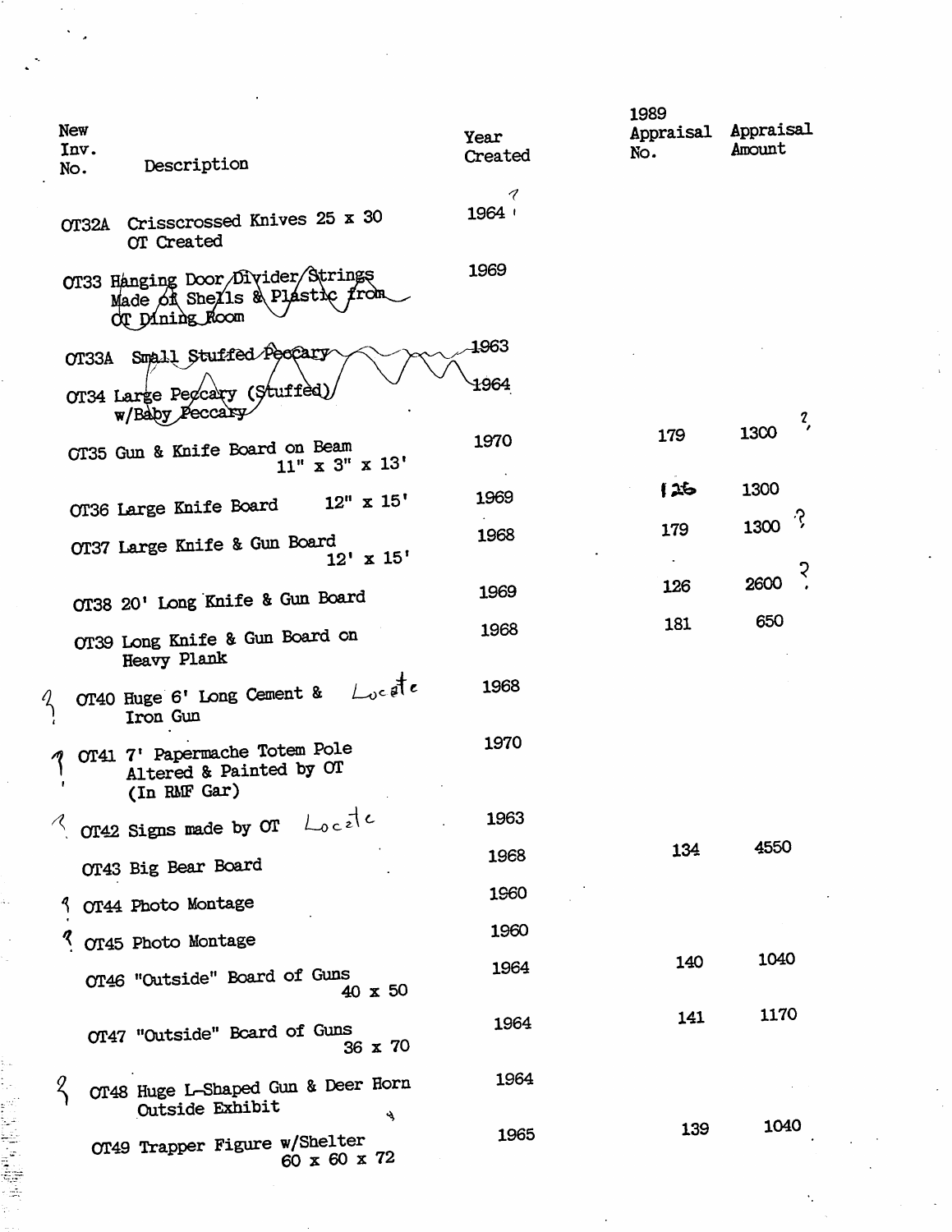| New<br>Inv.<br>Description<br>No.                                                    | Year<br>Created | 1989<br>Appraisal Appraisal<br>No. | Amount              |
|--------------------------------------------------------------------------------------|-----------------|------------------------------------|---------------------|
|                                                                                      | 1               |                                    |                     |
| Crisscrossed Knives 25 x 30<br><b>OT32A</b><br>OT Created                            | 1964            |                                    |                     |
| OT33 Hanging Door Divider Strings<br>Made of Shells & Plastic from<br>OT Dining Room | 1969            |                                    |                     |
| OT33A Small Stuffed Peopary                                                          | 1963            |                                    |                     |
| OT34 Large Pegcary (Stuffed)<br>w/Baby Peccary                                       | 1964            |                                    | $\frac{2}{\lambda}$ |
| CT35 Gun & Knife Board on Beam<br>$11''$ x 3" x 13'                                  | 1970            | 179                                | 1300                |
| $12''$ x $15'$                                                                       | 1969            | 62                                 | 1300                |
| OT36 Large Knife Board                                                               | 1968            | 179                                | 1300 $\sqrt{3}$     |
| OT37 Large Knife & Gun Board<br>$12' \times 15'$                                     |                 |                                    |                     |
| OT38 20' Long Knife & Gun Board                                                      | 1969            | 126                                | 2600                |
|                                                                                      | 1968            | 181                                | 650                 |
| OT39 Long Knife & Gun Board on<br>Heavy Plank                                        |                 |                                    |                     |
| OT40 Huge 6' Long Cement & $\bigcup_{v \in \mathfrak{F}} t e$<br>Z<br>Iron Gun       | 1968            |                                    |                     |
| OT41 7' Papermache Totem Pole<br>Altered & Painted by OT<br>(In RMF Gar)             | 1970            |                                    |                     |
| OT42 Signs made by OT $\bigcup_{0 \leq i \leq l} c$                                  | 1963            |                                    |                     |
| OT43 Big Bear Board                                                                  | 1968            | 134                                | 4550                |
| OT44 Photo Montage                                                                   | 1960            |                                    |                     |
| OT45 Photo Montage                                                                   | 1960            |                                    |                     |
| OT46 "Outside" Board of Guns<br>$40 \times 50$                                       | 1964            | 140                                | 1040                |
| OT47 "Outside" Board of Guns<br>36 x 70                                              | 1964            | 141                                | 1170                |
| OT48 Huge L-Shaped Gun & Deer Horn<br>Outside Exhibit                                | 1964            |                                    |                     |
| પ્યુ<br>OT49 Trapper Figure w/Shelter<br>60 x 60 x 72                                | 1965            | 139                                | 1040                |

 $\frac{1}{4}$ 

Ŷ,

 $\ddot{\phantom{a}}$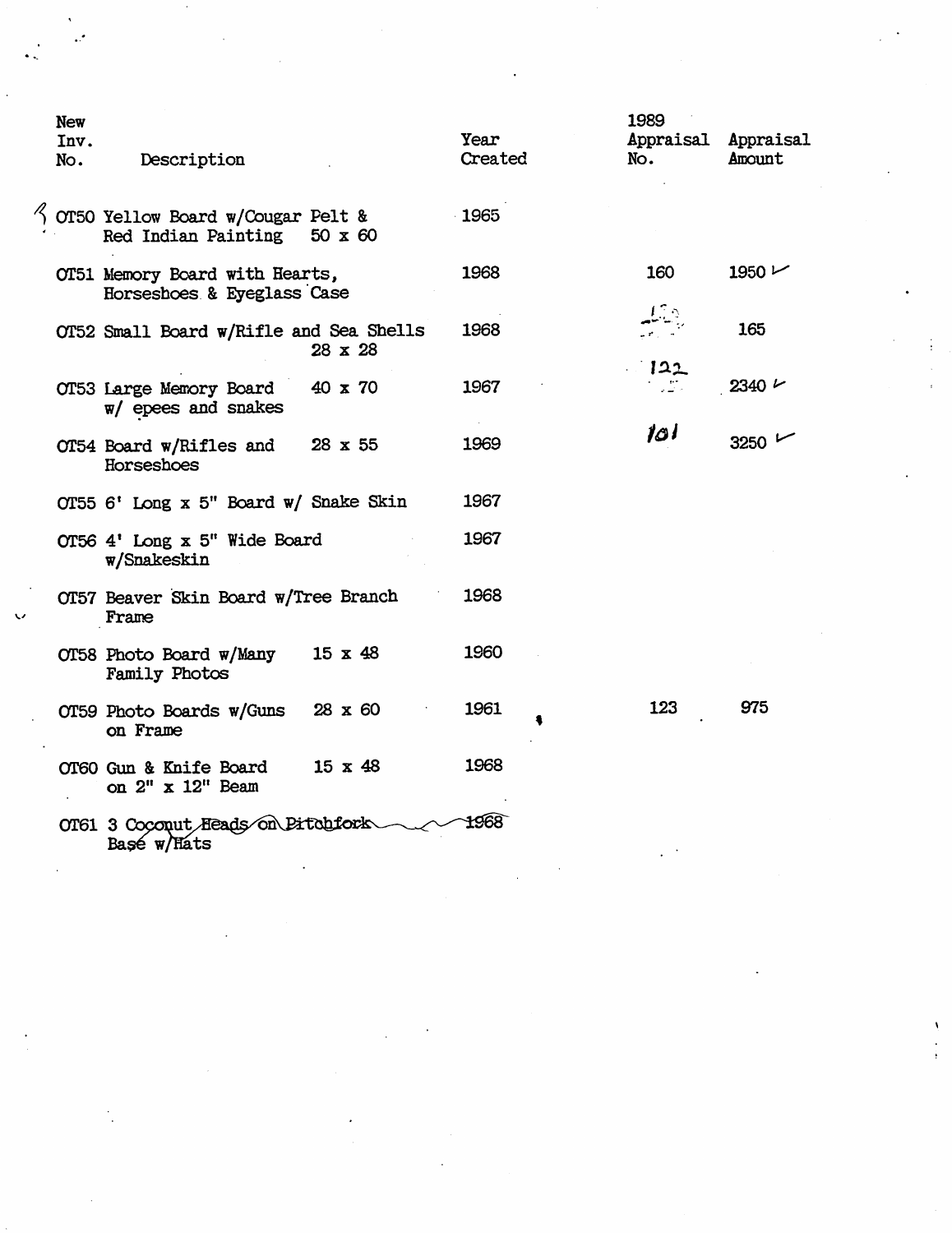|                      | <b>New</b> |                                         |                |         | 1989                |            |  |
|----------------------|------------|-----------------------------------------|----------------|---------|---------------------|------------|--|
|                      |            |                                         |                | Year    |                     |            |  |
|                      | Inv.       |                                         |                |         | Appraisal Appraisal |            |  |
|                      | No.        | Description                             |                | Created | No.                 | Amount     |  |
|                      |            |                                         |                |         |                     |            |  |
|                      |            |                                         |                |         |                     |            |  |
|                      |            | OT50 Yellow Board w/Cougar Pelt &       |                | 1965    |                     |            |  |
|                      |            | Red Indian Painting $50 \times 60$      |                |         |                     |            |  |
|                      |            |                                         |                |         |                     |            |  |
|                      |            | OT51 Memory Board with Hearts,          |                | 1968    | 160                 | 1950 $\nu$ |  |
|                      |            | Horseshoes & Eyeglass Case              |                |         |                     |            |  |
|                      |            |                                         |                |         |                     |            |  |
|                      |            |                                         |                |         |                     | 165        |  |
|                      |            | OT52 Small Board w/Rifle and Sea Shells |                | 1968    |                     |            |  |
|                      |            |                                         | 28 x 28        |         |                     |            |  |
|                      |            |                                         |                |         | 122                 |            |  |
|                      |            | OT53 Large Memory Board                 | 40 x 70        | 1967    |                     | $2340 \nu$ |  |
|                      |            | $w/$ epees and snakes                   |                |         |                     |            |  |
|                      |            |                                         |                |         |                     |            |  |
|                      |            | OT54 Board w/Rifles and                 | 28 x 55        | 1969    | 10 I                | 3250       |  |
|                      |            | Horseshoes                              |                |         |                     |            |  |
|                      |            |                                         |                |         |                     |            |  |
|                      |            |                                         |                | 1967    |                     |            |  |
|                      |            | OT55 6' Long x 5" Board w/ Snake Skin   |                |         |                     |            |  |
|                      |            |                                         |                |         |                     |            |  |
|                      |            | OT56 4' Long x 5" Wide Board            |                | 1967    |                     |            |  |
|                      |            | w/Snakeskin                             |                |         |                     |            |  |
|                      |            |                                         |                |         |                     |            |  |
|                      |            | OT57 Beaver Skin Board w/Tree Branch    |                | 1968    |                     |            |  |
| $\ddot{\phantom{1}}$ |            | Frame                                   |                |         |                     |            |  |
|                      |            |                                         |                |         |                     |            |  |
|                      |            | OT58 Photo Board w/Many                 | $15 \times 48$ | 1960    |                     |            |  |
|                      |            |                                         |                |         |                     |            |  |
|                      |            | Family Photos                           |                |         |                     |            |  |
|                      |            |                                         |                |         |                     |            |  |
|                      |            | OT59 Photo Boards w/Guns                | 28 x 60        | 1961    | 123                 | 975        |  |
|                      |            | on Frame                                |                |         |                     |            |  |
|                      |            |                                         |                |         |                     |            |  |
|                      |            | OT60 Gun & Knife Board                  | $15 \times 48$ | 1968    |                     |            |  |
|                      |            | on 2" x 12" Beam                        |                |         |                     |            |  |
|                      |            |                                         |                |         |                     |            |  |
|                      |            | OT61 3 Coconut Heads on Pitchfork       |                | 1968    |                     |            |  |
|                      |            | Basé w/Hats                             |                |         |                     |            |  |
|                      |            |                                         |                |         |                     |            |  |

 $\label{eq:2.1} \frac{1}{\sqrt{2}}\int_{\mathbb{R}^3}\frac{1}{\sqrt{2}}\left(\frac{1}{\sqrt{2}}\right)^2\frac{1}{\sqrt{2}}\left(\frac{1}{\sqrt{2}}\right)^2\frac{1}{\sqrt{2}}\left(\frac{1}{\sqrt{2}}\right)^2.$ 

 $\mathcal{L}_{\text{max}}$  , where  $\mathcal{L}_{\text{max}}$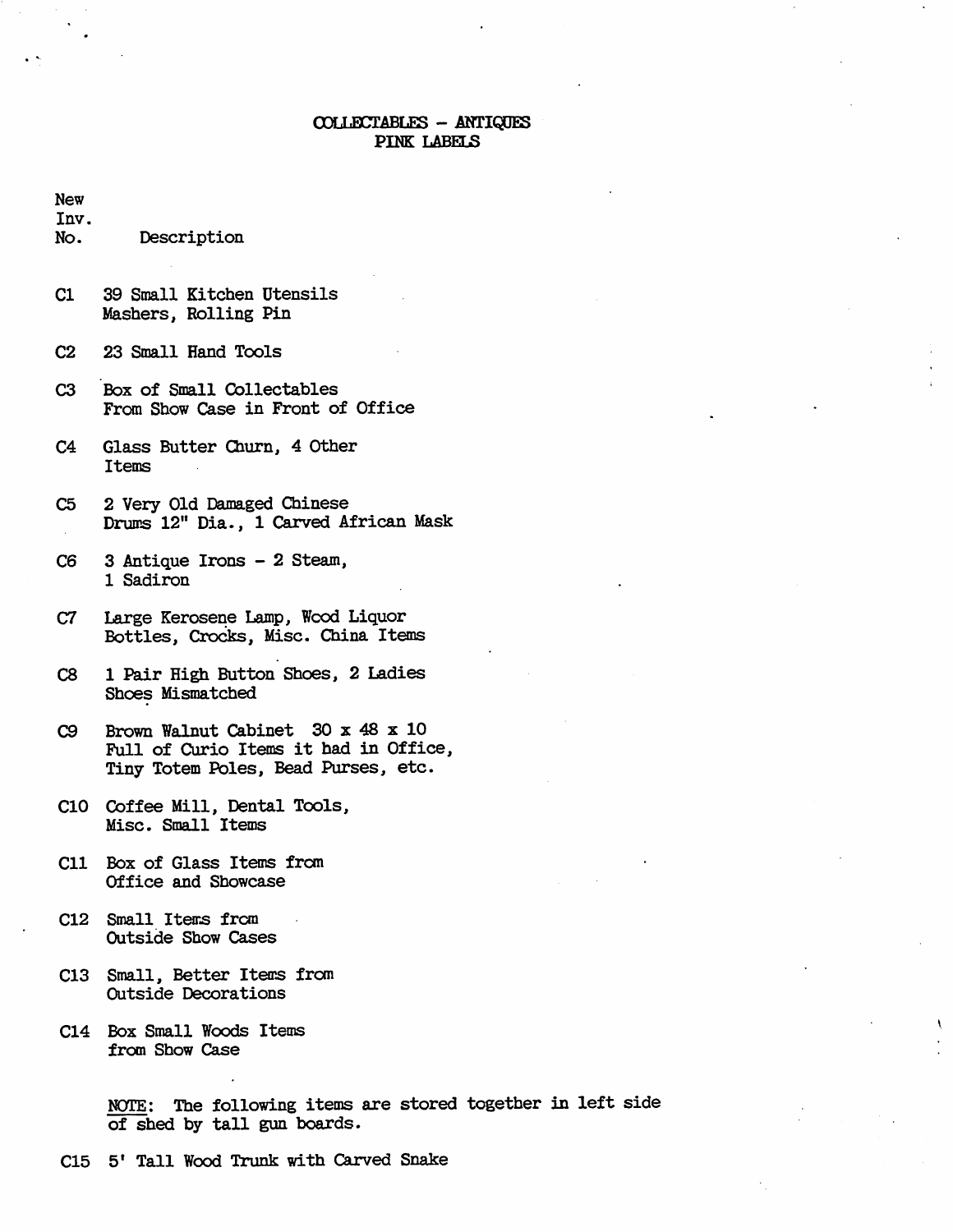### COLLECTABLES - ANTIQUES PINK LABELS

New

Inv. No. Description

- C1 39 Small Kitchen Utensils Mashers, Rolling Pin
- C<sub>2</sub> 23 Small Hand Tools
- C3 Box of Small Collectables From Show Case in Front of Office
- C4 Glass Butter Churn, 4 Other Items
- C5 2 Very Old Damaged Chinese Drums 12" Dia., 1 Carved African Mask
- C6 3 Antique Irons 2 Steam, 1 Sadiron
- C7 Large Kerosene Lamp, Wood Liquor Bottles, Crociks, Misc. China Items
- C8 1 Pair High Button Shoes, 2 Ladies Shoes Mismatched
- $C9$  Brown Walnut Cabinet 30 x 48 x 10 Full of Curio Items it had in Office, Tiny Totem Poles, Bead Purses, etc.
- C10 Coffee Mill, Dental Tools, Misc. Small Items
- C11 Box of Glass Items from Office and Showcase
- C12 Small Items from Outside Show Cases
- C13 Small, Better Items from Outside Decorations
- C14 Box Small Woods Items from Show Case

NOTE: The following items are stored together in left side of shed by tall gun boards.

C15 5' Tall Wood Trunk with Carved Snake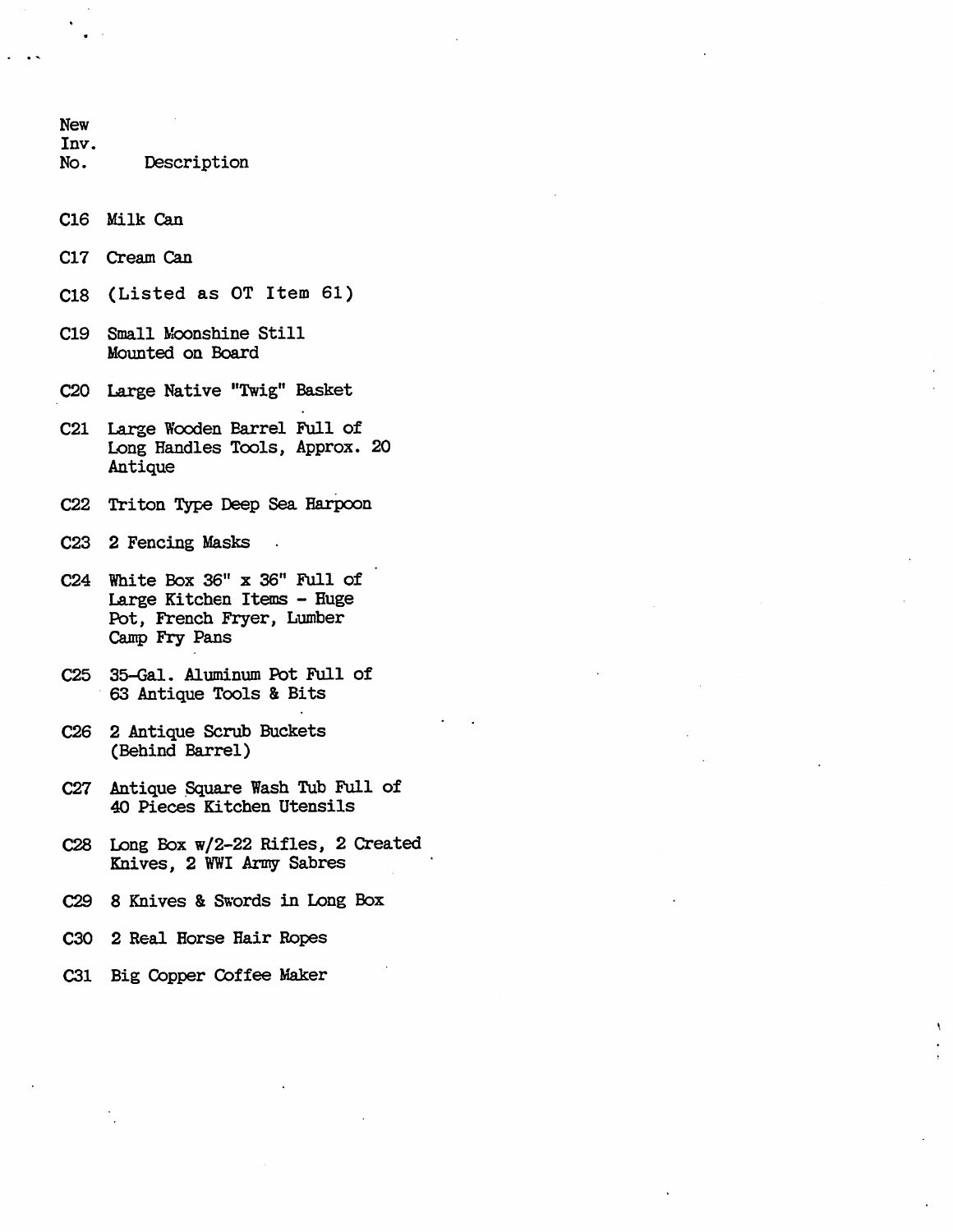New Inv. No. Description C16 Milk Can C17 Cream Can  $C18$  (Listed as OT Item 61) C19 Small Moonshine Still Mounted on Board C20 Large Native "Twig" Basket C21 Large Wooden Barrel Full of Long Handles Tools, Approx. 20 Antique C22 Triton Type Deep Sea Harpoon C23 2 Fencing Masks  $C24$  White Box  $36''$  x  $36''$  Full of Large Kitchen Items - Huge Pot, French Fryer, Lumber Camp Fry Pans C 25 35-Gal. Aluminum Pot Full of 63 Antique Tools & Bits C26 2 Antique Scrub Buckets (Behind Barrel) C27 Antique Square Wash Tub Full of 40 Pieces Kitchen Utensils C28 Long Box w/2-22 Rifles, 2 Created Knives, 2 WWI Army Sabres C 29 8 Knives & Swords in Long Box

- C30 2 Real Horse Hair Ropes
- C31 Big Copper Coffee Maker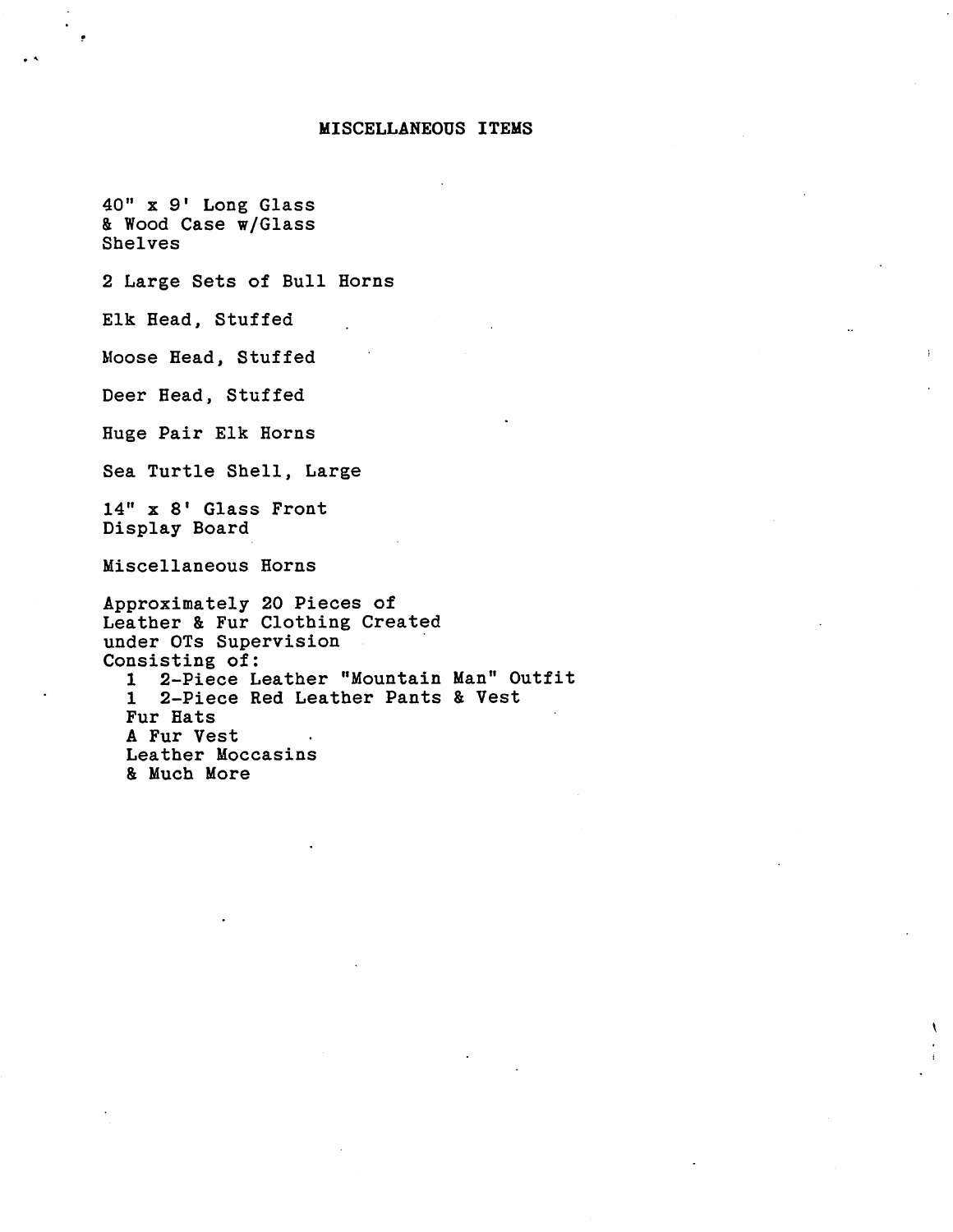#### MISCELLANEOUS ITEMS

40" x 9' Long Glass & Wood Case w/Glass Shelves

2 Large Sets of Bull Horns

Elk Head, Stuffed

Moose Head, Stuffed

Deer Head, Stuffed

Huge Pair Elk Horns

Sea Turtle Shell, Large

 $14"$  x 8' Glass Front Display Board

Miscellaneous Horns

Approximately 20 Pieces of Leather & Fur Clothing Created under OTs Supervision Consisting of: 1 2-Piece Leather "Mountain Man" Outfit 1 2-Piece Red Leather Pants & Vest Fur Hats A Fur Vest Leather Moccasins & Much More